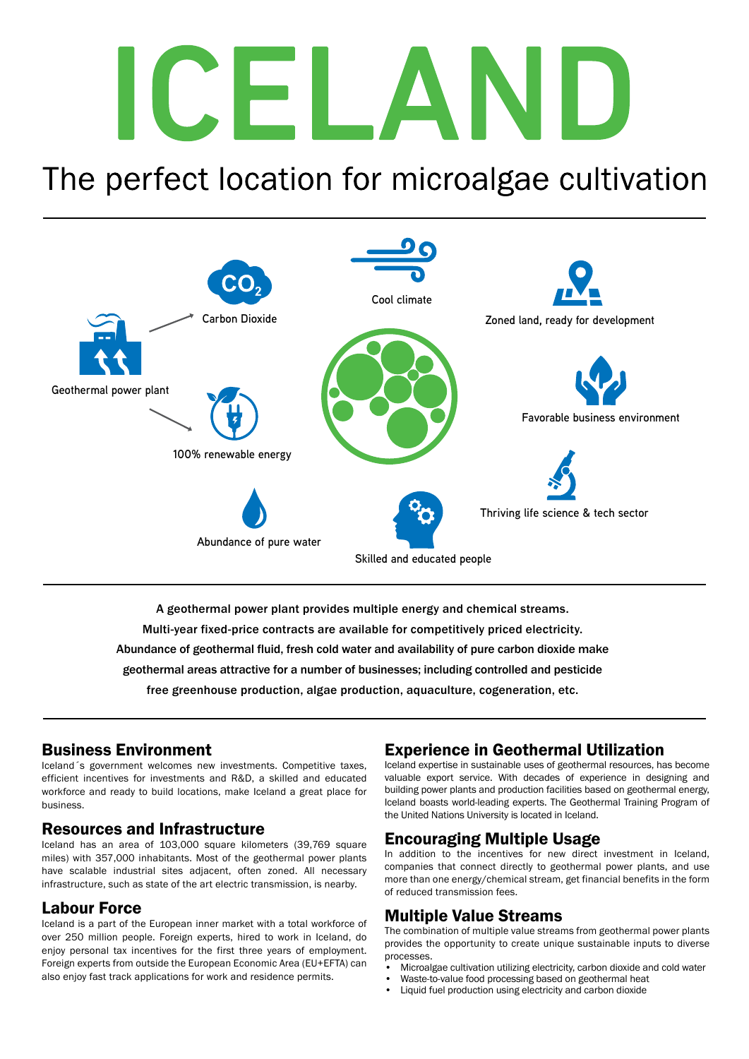## CELAI N

### The perfect location for microalgae cultivation



A geothermal power plant provides multiple energy and chemical streams. Multi-year fixed-price contracts are available for competitively priced electricity.

Abundance of geothermal fluid, fresh cold water and availability of pure carbon dioxide make

geothermal areas attractive for a number of businesses; including controlled and pesticide

free greenhouse production, algae production, aquaculture, cogeneration, etc.

### Business Environment

Iceland´s government welcomes new investments. Competitive taxes, efficient incentives for investments and R&D, a skilled and educated workforce and ready to build locations, make Iceland a great place for business.

### Resources and Infrastructure

Iceland has an area of 103,000 square kilometers (39,769 square miles) with 357,000 inhabitants. Most of the geothermal power plants have scalable industrial sites adjacent, often zoned. All necessary infrastructure, such as state of the art electric transmission, is nearby.

### Labour Force

Iceland is a part of the European inner market with a total workforce of over 250 million people. Foreign experts, hired to work in Iceland, do enjoy personal tax incentives for the first three years of employment. Foreign experts from outside the European Economic Area (EU+EFTA) can also enjoy fast track applications for work and residence permits.

### Experience in Geothermal Utilization

Iceland expertise in sustainable uses of geothermal resources, has become valuable export service. With decades of experience in designing and building power plants and production facilities based on geothermal energy, Iceland boasts world-leading experts. The Geothermal Training Program of the United Nations University is located in Iceland.

### Encouraging Multiple Usage

In addition to the incentives for new direct investment in Iceland, companies that connect directly to geothermal power plants, and use more than one energy/chemical stream, get financial benefits in the form of reduced transmission fees.

### Multiple Value Streams

The combination of multiple value streams from geothermal power plants provides the opportunity to create unique sustainable inputs to diverse processes.

- Microalgae cultivation utilizing electricity, carbon dioxide and cold water
- Waste-to-value food processing based on geothermal heat
- Liquid fuel production using electricity and carbon dioxide